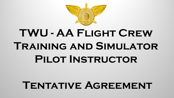

# **TWU - AA Flight Crew Training and Simulator Pilot Instructor**

# **Tentative Agreement**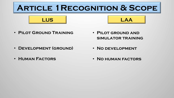## **Article 1Recognition & Scope**



• **Pilot Ground Training**

• **Pilot ground and simulator training**

- **Development (ground)**
- **Human Factors**
- **No development**
- **No human factors**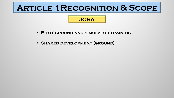### **Article 1Recognition & Scope**

- **Pilot ground and simulator training**
- **Shared development (ground)**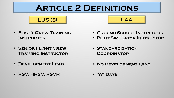## **Article 2 Definitions**

**LUS (3) LAA**

- **Flight Crew Training Instructor**
- **Senior Flight Crew Training Instructor**
- **Development Lead**
- **RSV, HRSV, RSVR**
- **Ground School Instructor**
- **Pilot Simulator Instructor**
- **Standardization Coordinator**
- **No Development Lead**
- **'W' Days**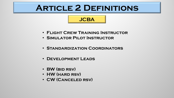### **Article 2 Definitions**

- **Flight Crew Training Instructor**
- **Simulator Pilot Instructor**
- **Standardization Coordinators**
- **Development Leads**
- **BW (bid rsv)**
- **HW (hard rsv)**
- **CW (Canceled rsv)**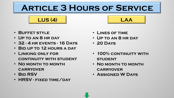**LUS (4) LAA**

- **Buffet style**
- **Up to an 8 hr day**
- **32 - 4 hr events - 16 Days**
- **Bid up to 12 hours a day**
- **Linking only for continuity with student**
- **No month to month carryover**
- **Bid RSV**
- **HRSV - fixed time/day**
- **Lines of time**
- **Up to an 8 hr day**
- **20 Days**
- **100% continuity with STUDENT**
- **No month to month carryover**
- **Assigned W Days**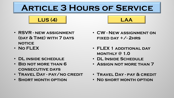**LUS (4) LAA**

- **RSVR - new assignment (day & Time) with 7 days notice**
- **No FLEX**
- **DL inside schedule**
- **Bid not more than 6 consecutive days**
- **Travel Day - pay/no credit**
- **Short month option**
- **CW - New assignment on fixed day +/- 2hrs**
- **FLEX 1 additional day monthly @ 1.0**
- **DL Inside Schedule**
- **Assign not more than 7**
- **Travel Day - pay & credit**
- **No short month option**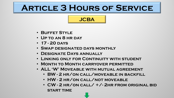- **Buffet Style**
- **Up to an 8 hr day**
- **17 - 20 days**
- **Swap designated days monthly**
- **Designate Days annually**
- **Linking only for Continuity with student**
- **Month to Month carryover permitted**
- **ALL 'W' Moveable with mutual agreement**
	- **BW - 2 hr/on call/moveable in backfill**
	- **HW - 2 hr/on call/not moveable**
	- **CW - 2 hr/on call/ +/- 2hr from original bid start time**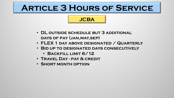- **DL outside schedule but 3 additional days of pay (jan,may,sep)**
- **FLEX 1 day above designated / Quarterly**
- **Bid up to designated days consecutively**
	- **Backfill limit 6/12**
- **Travel Day - pay & credit**
- **Short month option**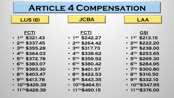- **11th\$429.39**
- **10th\$429.39**
- **9th \$413.78**
- **8th \$403.47**
- **7th \$393.30**
- **6th \$383.07**
- **5th \$372.78**
- **4th \$364.03**
- **3rd \$355.28**
- **2nd \$337.45**
- **FCTI** • **1st \$321.43**
- **11th\$490.15**
- **10th\$464.51**
- **9th \$443.35**
- **8th \$422.53**
- **7th \$401.57**
- **6th \$380.42**
- **5th \$359.52**
- **4th \$338.62**
- **3rd \$317.73**
- **2nd \$264.42**
- **FCTI** • **1st \$242.27**
- **11th\$376.00**
- **10th\$347.95**
- **9th \$332.10**
- **8th \$316.50**
- **7th \$300.80**
- **6th \$284.95**
- **5th \$269.30**
- **4th \$253.65**
- **3rd \$238.00**
- **2nd \$222.20**
- **GSI** • **1st \$213.15**

### **LUS (6) LAA**

#### **JCBA**

### **Article 4 Compensation**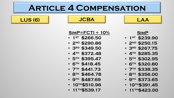- **11th\$539.17**
- **10th\$510.96**
- **9th \$487.69**
- **8th \$464.78**
- **7th \$441.73**
- **6th \$418.45**
- **5th \$395.47**
- **4th \$372.48**
- **3rd \$349.50**
- **2nd \$290.86**
- **1st \$266.50**

**SimP=FCTI + 10%**

**LUS (6) JCBA LAA**

**Article 4 Compensation**

**SimP**

• **1st \$239.90**

• **2nd \$250.15**

• **3rd \$267.75**

• **4th \$285.35**

• **5th \$302.95**

• **6th \$320.80**

• **7th \$338.35**

• **8th \$356.00**

• **9th \$373.65**

• **11th\$423.00**

• **10th\$391.45**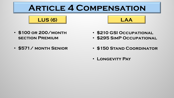



• **\$571/ month Senior**

- **\$210 GSI Occupational**
- **\$295 SimP Occupational**
- **\$150 Stand Coordinator**
- **Longevity Pay**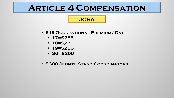- **\$15 Occupational Premium/Day**
	- **17=\$255**
	- **18=\$270**
	- **19=\$285**
	- **20=\$300**
- **\$300/month Stand Coordinators**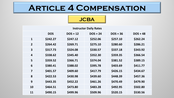| <b>Instructor Daily Rates</b> |            |            |            |            |            |  |  |
|-------------------------------|------------|------------|------------|------------|------------|--|--|
|                               | <b>DOS</b> | $DOS + 12$ | $DOS + 24$ | $DOS + 36$ | $DOS + 48$ |  |  |
| $\mathbf{1}$                  | \$242.27   | \$247.12   | \$252.06   | \$257.10   | \$262.24   |  |  |
| $\overline{2}$                | \$264.42   | \$269.71   | \$275.10   | \$280.60   | \$286.21   |  |  |
| $\overline{\mathbf{3}}$       | \$317.73   | \$324.08   | \$330.57   | \$337.18   | \$343.92   |  |  |
| $\overline{4}$                | \$338.62   | \$345.40   | \$352.30   | \$359.35   | \$366.54   |  |  |
| 5                             | \$359.52   | \$366.71   | \$374.04   | \$381.52   | \$389.15   |  |  |
| 6                             | \$380.41   | \$388.02   | \$395.78   | \$403.69   | \$411.77   |  |  |
| $\overline{\mathbf{z}}$       | \$401.57   | \$409.60   | \$417.79   | \$426.15   | \$434.67   |  |  |
| 8                             | \$422.53   | \$430.98   | \$439.60   | \$448.39   | \$457.36   |  |  |
| 9                             | \$443.35   | \$452.22   | \$461.26   | \$470.49   | \$479.90   |  |  |
| 10                            | \$464.51   | \$473.80   | \$483.28   | \$492.95   | \$502.80   |  |  |
| 11                            | \$490.15   | \$499.96   | \$509.96   | \$520.15   | \$530.56   |  |  |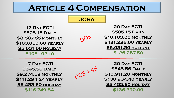

DOS

**17 Day FCTI \$505.15 Daily \$8,587.55 monthly \$103,050.60 Yearly \$5,051.50 holiday \$108,102.10** 

**20 Day FCTI \$505.15 Daily \$10,103.00 monthly \$121,236.00 Yearly \$5,051.50 holiday \$126,287.50** 

**17 Day FCTI \$545.56 Daily \$9,274.52 monthly \$111,294.24 Yearly \$5,455.60 holiday \$116,749.84** 



**20 Day FCTI \$545.56 Daily \$10,911.20 monthly \$130,934.40 Yearly \$5,455.60 holiday \$136,390.00**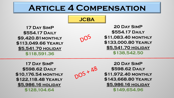#### **JCBA**

DOS

**17 Day SimP \$554.17 Daily \$9,420.81monthly \$113,049.66 Yearly \$5,541.70 holiday \$118,591.36** 

**20 Day SimP \$554.17 Daily \$11,083.40 monthly \$133,000.80 Yearly \$5,541.70 holiday \$138,542.50** 

**17 Day SimP \$598.62 Daily \$10,176.54 monthly \$122,118.48 Yearly \$5,986.16 holiday \$128,104.64** 



**20 Day SimP \$598.62 Daily \$11,972.40 monthly \$143,668.80 Yearly \$5,986.16 holiday \$149,654.96**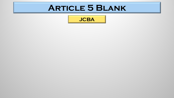### **Article 5 Blank**

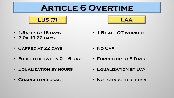### **Article 6 Overtime**





- **1.5x up to 18 days**
- **2.0x 19-22 days**

• **1.5x all OT worked**

- **Capped at 22 days** • **No Cap**
- **Forced between 0 – 6 days**
- **Equalization by hours**
- **Charged refusal**
- **Forced up to 5 Days**
- **Equalization by Day**
- **Not charged refusal**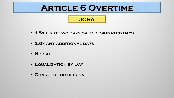### **Article 6 Overtime**

- **1.5x first two days over designated days**
- **2.0x any additional days**
- **No cap**
- **Equalization by Day**
- **Charged for refusal**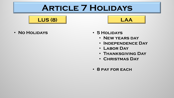### **Article 7 Holidays**

**LUS (8) LAA**

- **No Holidays 5 Holidays**
	- - **New years day**
		- **Independence Day**
		- **Labor Day**
		- **Thanksgiving Day**
		- **Christmas Day**
	- **8 pay for each**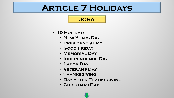### **Article 7 Holidays**

- **10 Holidays**
	- **New Years Day**
	- **President's Day**
	- **Good Friday**
	- **Memorial Day**
	- **Independence Day**
	- **Labor Day**
	- **Veterans Day**
	- **Thanksgiving**
	- **Day after Thanksgiving**
	- **Christmas Day**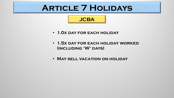### **Article 7 Holidays**

- **1.0x day for each holiday**
- **1.5x day for each holiday worked (including 'W' days)**
- **May sell vacation on holiday**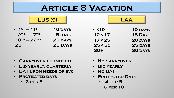### **Article 8 Vacation**

|                          | <b>LUS (9)</b> |             |  |
|--------------------------|----------------|-------------|--|
| $\bullet$ 1 ST $-$ 11 TH | <b>10 DAYS</b> | $\cdot$ <10 |  |
| $12^{TH} - 17^{TH}$      | <b>15 DAYS</b> | 10 < 17     |  |
| $18TH - 22ND$            | <b>20 DAYS</b> | 17 < 25     |  |
| $23+$                    | <b>25 DAYS</b> | 25 < 30     |  |
|                          |                |             |  |

| $\cdot$ <10 | <b>10 DAYS</b> |
|-------------|----------------|
| 10 < 17     | <b>15 DAYS</b> |
| 17 < 25     | <b>20 DAYS</b> |
| 25 < 30     | <b>25 DAYS</b> |
| 30+         | <b>30 DAYS</b> |

- **Carryover permitted**
- **Bid yearly, quarterly**
- **DAT upon needs of svc**
- **Protected days** 
	- **2 per 5**
- **No carryover**
- **Bid yearly**
- **No DAT**
- **Protected Days**
	- **4 per 5**
	- **6 per 10**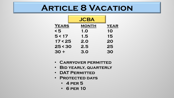### **Article 8 Vacation**

|              | <b>JCBA</b>  |             |
|--------------|--------------|-------------|
| <b>YEARS</b> | <b>MONTH</b> | <b>YEAR</b> |
| $\leq 5$     | 1.O          | 10          |
| 5 < 17       | 1.5          | 15          |
| 17 < 25      | 2.0          | 20          |
| 25 < 30      | 2.5          | 25          |
| $30 +$       | 3.0          | 30          |

- **Carryover permitted**
- **Bid yearly, quarterly**
- **DAT Permitted**
- **Protected days**
	- **4 per 5**
	- **6 per 10**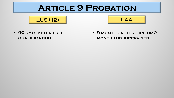### **Article 9 Probation**





• **90 days after full qualification**

• **9 months after hire or 2 months unsupervised**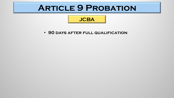### **Article 9 Probation**



• **90 days after full qualification**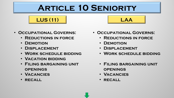## **Article 10 Seniority**

**LUS (11) LAA**

#### • **Occupational Governs:**

- **Reductions in force**
- **Demotion**
- **Displacement**
- **Work schedule bidding**
- **Vacation bidding**
- **Filing bargaining unit openings**
- **Vacancies**
- **recall**



- **Reductions in force**
- **Demotion**
- **Displacement**
- **Work schedule bidding**
- **Filing bargaining unit openings**
- **Vacancies**
- **recall**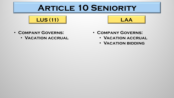### **ARTICLE 10 SENIORITY**





- **Company Governs:**
	- **Vacation accrual**
- **Company Governs:**
	- **Vacation accrual**
	- **Vacation bidding**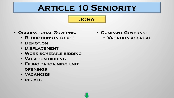## **Article 10 Seniority**

**JCBA**

#### • **Occupational Governs:**

- **Reductions in force**
- **Demotion**
- **Displacement**
- **Work schedule bidding**
- **Vacation bidding**
- **Filing bargaining unit openings**
- **Vacancies**
- **recall**
- **Company Governs:**
	- **Vacation accrual**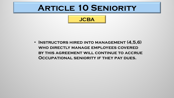### **Article 10 Seniority**



• **Instructors hired into management (4,5,6) who directly manage employees covered by this agreement will continue to accrue Occupational seniority if they pay dues.**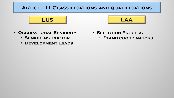#### **Article 11 Classifications and qualifications**





- **Senior Instructors**
- **Development Leads**
- **Selection Process**
	- **Stand coordinators**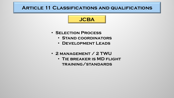#### **Article 11 Classifications and qualifications**

- **Selection Process**
	- **Stand coordinators**
	- **Development Leads**
- **2 management / 2 TWU**
	- **Tie breaker is MD flight training/standards**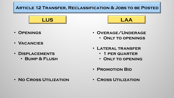

- **Openings**
- **Vacancies**
- **Displacements**
	- **Bump & Flush**



- **Overage/Underage**
	- **Only to openings**
- **Lateral transfer**
	- **1 per quarter**
	- **Only to opening**
- **Promotion Bid**

• **No Cross Utilization**

• **Cross Utilization**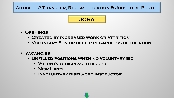

- **Openings**
	- **Created by increased work or attrition**
	- **Voluntary Senior bidder regardless of location**
- **Vacancies**
	- **Unfilled positions when no voluntary bid**
		- **Voluntary displaced bidder**
		- **New Hires**
		- **Involuntary displaced Instructor**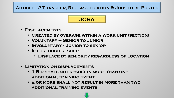

- **Displacements**
	- **Created by overage within a work unit (section)**
	- **Voluntary – Senior to Junior**
	- **Involuntary - Junior to senior**
	- **If furlough results**
		- **Displace by seniority regardless of location**
- **Limitation on displacements**
	- **1 Bid shall not result in more than one additional training event**
	- **2 or more shall not result in more than two additional training events**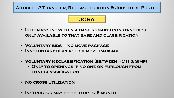

- **If headcount within a base remains constant bids only available to that base and classification**
- **Voluntary bids = no move package**
- **Involuntary displaced = move package**
- **Voluntary Reclassification (between FCTI & Simp)**
	- **Only to openings if no one on furlough from that classification**
- **No cross utilization**
- **Instructor may be held up to 6 month**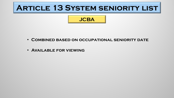### **Article 13 System seniority list**



- **Combined based on occupational seniority date**
- **Available for viewing**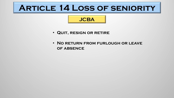# **Article 14 Loss of seniority**

- **Quit, resign or retire**
- **No return from furlough or leave of absence**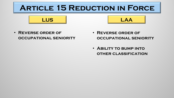# **Article 15 Reduction in Force**



• **Reverse order of occupational seniority**

- **Reverse order of occupational seniority**
- **Ability to bump into other classification**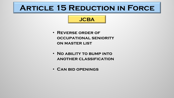### **Article 15 Reduction in Force**

- **Reverse order of occupational seniority on master list**
- **No ability to bump into another classification**
- **Can bid openings**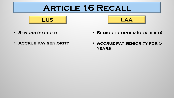# **Article 16 Recall**





- **Seniority order**
- **Accrue pay seniority**
- **Seniority order (qualified)**
- **Accrue pay seniority for 5 years**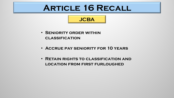# **Article 16 Recall**

- **Seniority order within classification**
- **Accrue pay seniority for 10 years**
- **Retain rights to classification and location from first furloughed**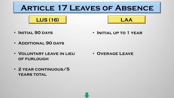# **Article 17 Leaves of Absence**





• **Initial 90 days**

• **Initial up to 1 year**

- **Additional 90 days**
- **Voluntary leave in lieu of furlough**

• **Overage Leave**

• **2 year continuous/5 years total**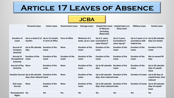# **Article 17 Leaves of Absence**

|                                                       | <b>Personal Leave</b>                                                          | <b>Union Leave</b>              | <b>Government Leave</b>         | <b>Overage Leave</b>                              | <b>Unpaid Sick Leave</b><br>of Absence<br>(including<br><b>Maternity)</b> | <b>Unpaid Injury on</b><br><b>Duty Leave</b>     | <b>Military Leave</b>                                                          | <b>Family Leave</b>                               |
|-------------------------------------------------------|--------------------------------------------------------------------------------|---------------------------------|---------------------------------|---------------------------------------------------|---------------------------------------------------------------------------|--------------------------------------------------|--------------------------------------------------------------------------------|---------------------------------------------------|
| <b>Duration of</b><br>Leave                           | Up to a total of 12 Up to 12 months<br>months                                  | or term of office               | <b>Term of office</b>           | Minimum of 1<br>week, up to 1 year (cumulative if | Up to 5 years<br>same illness)*                                           | Up to 5 years<br>(cumulative if<br>same injury)* | Up to 5 years or in Up to 84 calendar<br>accordance with<br><b>Federal law</b> | days (12 weeks)                                   |
| <b>Accrual of</b><br>Company<br><b>Seniority</b>      | Up to 90 calendar<br>days                                                      | Duration of the<br>Leave        | <b>None</b>                     | <b>Duration of the</b><br>Leave                   | <b>Duration of the</b><br>Leave                                           | <b>Duration of the</b><br>Leave                  | <b>Duration of the</b><br>Leave                                                | <b>Duration of the</b><br>Leave                   |
| <b>Accrual of</b><br>Occupational<br><b>Seniority</b> | <b>Duration of the</b><br>Leave                                                | Duration of the<br>Leave        | <b>Duration of the</b><br>Leave | <b>Duration of the</b><br>Leave                   | <b>Duration of the</b><br><b>Leave</b>                                    | <b>Duration of the</b><br>Leave                  | <b>Duration of the</b><br><b>Leave</b>                                         | Not to exceed 90<br>days                          |
| <b>Accrual of Pay</b><br><b>Seniority</b>             | <b>None</b>                                                                    | <b>Duration of the</b><br>Leave | <b>None</b>                     | <b>Duration of the</b><br>Leave                   | Up to 30 calendar<br>days                                                 | <b>Duration of the</b><br>Leave                  | <b>Duration of the</b><br>Leave                                                | Up to 30 calendar<br>days of unpaid<br>leave      |
|                                                       | Vacation Accrual Up to 60 calendar Duration of the<br>days, then reduced Leave |                                 | <b>None</b>                     | <b>Duration of the</b><br>Leave                   | Up to 60 calendar Duration of the<br>days, then reduced Leave             |                                                  | <b>Duration of Leave</b>                                                       | Up to 60 days of<br>unpaid leave, then<br>reduced |
| <b>Sick Leave</b><br><b>Accrual</b>                   | <b>None</b>                                                                    | <b>Duration of the</b><br>Leave | <b>None</b>                     | <b>Duration of the</b><br>Leave                   | Up to 60 calendar Duration of the<br>days, then reduced Leave             |                                                  | <b>Duration of Leave</b>                                                       | Up to 30 calendar<br>days of unpaid<br>leave      |
| Reinstatement<br><b>Rights</b>                        | Yes                                                                            | <b>Yes</b>                      | <b>Yes</b>                      | Yes                                               | <b>Yes</b>                                                                | <b>Yes</b>                                       | <b>Yes</b>                                                                     | <b>Yes</b>                                        |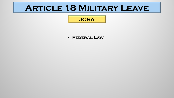# **Article 18 Military Leave**

#### **JCBA**

#### • **Federal Law**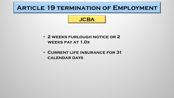#### **ARTICLE 19 TERMINATION OF EMPLOYMENT**

- **2 weeks furlough notice or 2 weeks pay at 1.0x**
- **Current life insurance for 31 calendar days**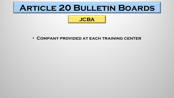# **Article 20 Bulletin Boards**



• **Company provided at each training center**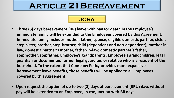# **Article 21Bereavement**

- Three (3) days bereavement (BR) leave with pay for death in the Employee's immediate family will be extended to the Employees covered by this Agreement. Immediate family includes mother, father, spouse, eligible domestic partner, sister, step-sister, brother, step-brother, child (dependent and non-dependent), mother-inlaw, domestic partner's mother, father-in-law, domestic partner's father, stepmother, stepfather, Employee's grandparents, Employee's grandchildren, legal guardian or documented former legal guardian, or relative who is a resident of the **household.** To the extent that Company Policy provides more expansive **bereavement leave benefits, those benefits will be applied to all Employees covered by this Agreement.**
- Upon request the option of up to two (2) days of bereavement (BRU) days without pay will be extended to an Employee, in conjunction with BR days.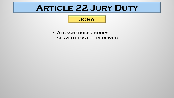# **Article 22 Jury Duty**

#### **JCBA**

• **All scheduled hours served less fee received**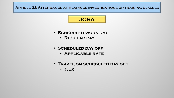#### **Article 23 Attendance at hearings investigations or training classes**

- **Scheduled work day**
	- **Regular pay**
- **Scheduled day off**
	- **Applicable rate**
- **Travel on scheduled day off** • **1.5x**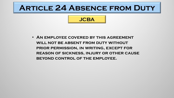### **Article 24 Absence from Duty**

### **JCBA**

• **An employee covered by this agreement will not be absent from duty without prior permission, in writing, except for reason of sickness, injury or other cause beyond control of the employee.**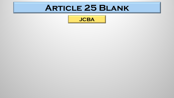# **Article 25 Blank**

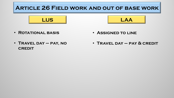

• **Rotational basis**

• **Assigned to line**

• **Travel day – pay, no CREDIT** 

• **Travel day – pay & credit**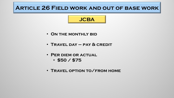#### **Article 26 Field work and out of base work**

- **On the monthly bid**
- **Travel day – pay & credit**
- **Per diem or actual**
	- **\$50 / \$75**
- **Travel option to/from home**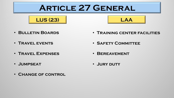# **Article 27 General**





- **Bulletin Boards**
- **Travel events**
- **Travel Expenses**
- **Jumpseat**
- **Change of control**
- **Training center facilities**
- **Safety Committee**
- **Bereavement**
- **Jury duty**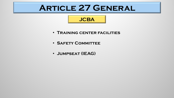# **Article 27 General**

- **Training center facilities**
- **Safety Committee**
- **Jumpseat (IEAG)**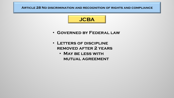**Article 28 No discrimination and recognition of rights and compliance**

- **Governed by Federal law**
- **Letters of discipline removed after 2 years**
	- **May be less with mutual agreement**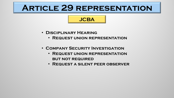# **Article 29 representation**

- **Disciplinary Hearing**
	- **Request union representation**
- **Company Security Investigation**
	- **Request union representation but not required**
	- **Request a silent peer observer**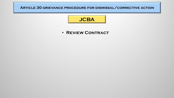#### **Article 30 grievance procedure for dismissal/corrective action**



• **Review Contract**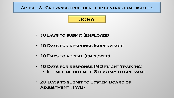**Article 31 Grievance procedure for contractual disputes**



- **10 Days to submit (employee)**
- **10 Days for response (supervisor)**
- **10 Days to appeal (employee)**
- **10 Days for response (MD flight training)**
	- **If timeline not met, 8 hrs pay to grievant**
- **20 Days to submit to System Board of Adjustment (TWU)**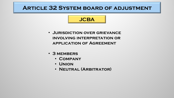#### **Article 32 System board of adjustment**

- **Jurisdiction over grievance involving interpretation or application of Agreement**
- **3 members**
	- **Company**
	- **Union**
	- **Neutral (Arbitrator)**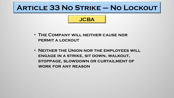### **Article 33 No Strike – No Lockout**

- **The Company will neither cause nor permit a lockout**
- **Neither the Union nor the employees will engage in a strike, sit down, walkout, stoppage, slowdown or curtailment of work for any reason**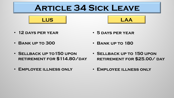# **Article 34 Sick Leave**





- **12 days per year** • **5 days per year**
- **Bank up to 300** • **Bank up to 180**
- **Sellback up to150 upon retirement for \$114.80/day**
- **Sellback up to 150 upon retirement for \$25.00/ day**
- **Employee illness only** • **Employee illness only**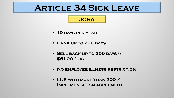# **Article 34 Sick Leave**

- **10 days per year**
- **Bank up to 200 days**
- **Sell back up to 200 days @**  \$61.20/DAY
- **No employee illness restriction**
- **LUS with more than 200 / Implementation agreement**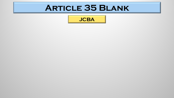# **Article 35 Blank**

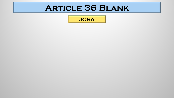# **Article 36 Blank**

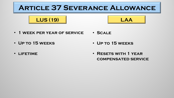





- **1 week per year of service** • **Scale**
- **Up to 15 weeks** • **Up to 15 weeks**
- **lifetime**

• **Resets with 1 year compensated service**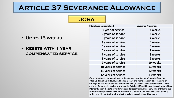#### **Article 37 Severance Allowance**

#### **JCBA**

| • UP TO 15 WEEKS     |  |
|----------------------|--|
| • RESETS WITH 1 YEAR |  |

**compensated service**

| If Employee has completed: | <b>Severance Allowance:</b> |  |  |
|----------------------------|-----------------------------|--|--|
| 1 year of service          | 3 weeks                     |  |  |
| 2 years of service         | 3 weeks                     |  |  |
| 3 years of service         | 4 weeks                     |  |  |
| 4 years of service         | 5 weeks                     |  |  |
| <b>5 years of service</b>  | 6 weeks                     |  |  |
| 6 years of service         | 7 weeks                     |  |  |
| <b>7 years of service</b>  | 8 weeks                     |  |  |
| 8 years of service         | 9 weeks                     |  |  |
| 9 years of service         | 10 weeks                    |  |  |
| 10 years of service        | 11 weeks                    |  |  |
| 11 years of service        | 12 weeks                    |  |  |
| 12 years of service        | 13 weeks                    |  |  |

If the Employee is not reemployed by the Company within four (4) months from the effective date of his furlough, and he has at least one year's seniority as of the date of furlough, he will be entitled to an additional two (2) weeks' severance allowance. In the event an Employee is recalled to work under Article 16 (Recall) before the expiration of four (4) months from the date of his furlough and is again furloughed, he will be entitled to the additional two (2) weeks' severance allowance if he is not reemployed by the Company within four (4) months from the effective date of the subsequent furlough.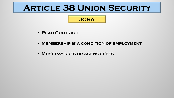# **Article 38 Union Security**

- **Read Contract**
- **Membership is a condition of employment**
- **Must pay dues or agency fees**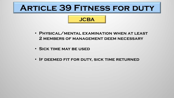# **Article 39 Fitness for duty**

- **Physical/mental examination when at least 2 members of management deem necessary**
- **Sick time may be used**
- **If deemed fit for duty, sick time returned**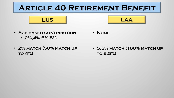# **ARTICLE 40 RETIREMENT BENEFIT**

**LUS LAA**

• **None**



- **2%,4%,6%,8%**
- **2% match (50% match up to 4%)**

• **5.5% match (100% match up to 5.5%)**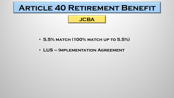### **Article 40 Retirement Benefit**

- **5.5% match (100% match up to 5.5%)**
- **LUS – Implementation Agreement**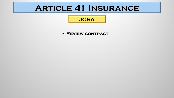### **Article 41 Insurance**

### **JCBA**

• **Review contract**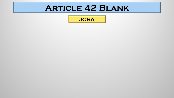## **Article 42 Blank**

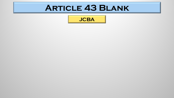### **Article 43 Blank**

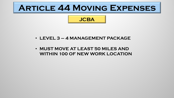# **Article 44 Moving Expenses**

### **JCBA**

- **LEVEL 3 – 4 MANAGEMENT PACKAGE**
- **MUST MOVE AT LEAST 50 MILES AND WITHIN 100 OF NEW WORK LOCATION**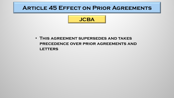### **Article 45 Effect on Prior Agreements**



• **This agreement supersedes and takes precedence over prior agreements and LETTERS**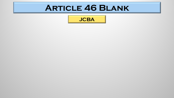### **Article 46 Blank**

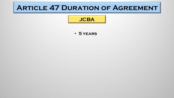### **ARTICLE 47 DURATION OF AGREEMENT**

### **JCBA**

#### • **5 years**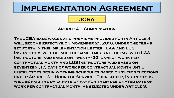### **JCBA**

**Article 4 – Compensation**

**The JCBA base wages and premiums provided for in Article 4 will become effective on November 21, 2016, under the terms set forth in this Implementation Letter. LAA and LUS Instructors will be paid the same daily rate of pay, with LAA Instructors paid based on twenty (20) days of work per contractual month and LUS Instructors paid based on seventeen (17) days of work per contractual month until Instructors begin working schedules based on their selections under Article 3 – Hours of Service. Thereafter, Instructors will be paid the daily rate of pay for their designated days of work per contractual month, as selected under Article 3.**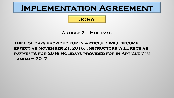### **JCBA**

**Article 7 – Holidays**

#### **The Holidays provided for in Article 7 will become effective November 21, 2016. Instructors will receive payments for 2016 Holidays provided for in Article 7 in January 2017**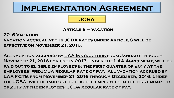**JCBA**

# **Article 8 – Vacation**

#### **2016 Vacation**

**Vacation accrual at the JCBA rates under Article 8 will be effective on November 21, 2016.**

**All vacation accrued by LAA Instructors from January through November 21, 2016 for use in 2017, under the LAA Agreement, will be paid out to eligible employees in the first quarter of 2017 at the employees' pre-JCBA regular rate of pay. All vacation accrued by LAA FCTIs from November 21, 2016 through December, 2016, under the JCBA, will be paid out to eligible employees in the first quarter of 2017 at the employees' JCBA regular rate of pay.**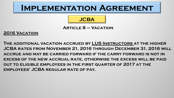### **JCBA**

#### **Article 8 – Vacation**

**2016 Vacation**

**The additional vacation accrued by LUS Instructors at the higher JCBA rates from November 21, 2016 through December 31, 2016 will accrue and may be carried forward if the carry forward is not in excess of the new accrual rate, otherwise the excess will be paid out to eligible employees in the first quarter of 2017 at the employees' JCBA regular rate of pay.**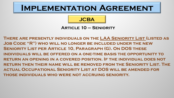#### **JCBA**

#### **Article 10 – Seniority**

**There are presently individuals on the LAA Seniority List (listed as Job Code "R") who will no longer be included under the new Seniority List per Article 10, Paragraph (G). On DOS these individuals will be offered on a one-time basis the opportunity to return an opening in a covered position. If the individual does not return then their name will be removed from the Seniority List. The actual Occupational Seniority List at DOS will be amended for those individuals who were not accruing seniority.**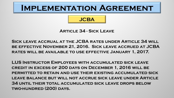### **JCBA**

**Article 34 - Sick Leave**

**Sick leave accrual at the JCBA rates under Article 34 will be effective November 21, 2016. Sick leave accrued at JCBA rates will be available to use effective January 1, 2017.**

**LUS Instructor Employees with accumulated sick leave credit in excess of 200 days on December 1, 2016 will be permitted to retain and use their existing accumulated sick leave balance but will not accrue sick leave under Article 34 until their total accumulated sick leave drops below two-hundred (200) days.**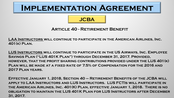### **JCBA**

#### **Article 40 - Retirement Benefit**

**LAA Instructors will continue to participate in the American Airlines, Inc. 401(k) Plan.**

**LUS Instructors will continue to participate in the US Airways, Inc. Employee Savings Plan ("LUS 401K Plan") through December 31, 2017. Provided, however, that the profit sharing contributions provided under the LUS 401(k) Plan will be made at a fixed rate of 7.5% of Compensation for the 2016 and 2017 Plan years.** 

**Effective January 1, 2018, Section 40 – Retirement Benefits of the JCBA will apply to LAA Instructors and LUS Instructors. LUS FCTIs will participate in the American Airlines, Inc. 401(K) Plan, effective January 1, 2018. There is no obligation to maintain the LUS 401K Plan for LUS Instructors after December 31, 2017.**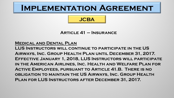### **JCBA**

#### **Article 41 – Insurance**

#### **Medical and Dental Plan**

**LUS Instructors will continue to participate in the US Airways, Inc. Group Health Plan until December 31, 2017. Effective January 1, 2018, LUS Instructors will participate in the American Airlines, Inc. Health and Welfare Plan for Active Employees, pursuant to Article 41.B. There is no obligation to maintain the US Airways, Inc. Group Health Plan for LUS Instructors after December 31, 2017.**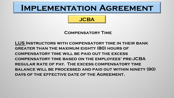### **JCBA**

#### **Compensatory Time**

**LUS Instructors with compensatory time in their bank greater than the maximum eighty (80) hours of compensatory time will be paid out the excess compensatory time based on the employees' pre-JCBA regular rate of pay. The excess compensatory time balance will be processed and paid out within ninety (90) days of the effective date of the Agreement.**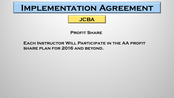### **JCBA**

#### **Profit Share**

#### **Each Instructor Will Participate in the AA profit share plan for 2016 and beyond.**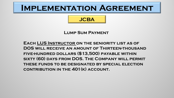### **JCBA**

#### **Lump Sum Payment**

**Each LUS Instructor on the seniority list as of DOS will receive an amount of Thirteen-thousand five-hundred dollars (\$13,500) payable within sixty (60) days from DOS. The Company will permit these funds to be designated by special election contribution in the 401(k) account.**